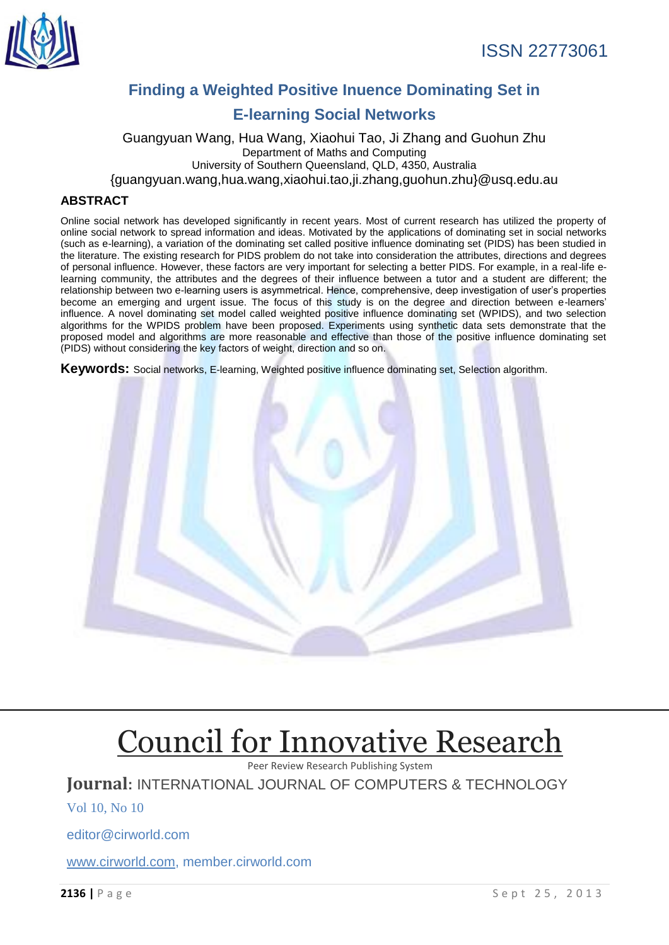

# **Finding a Weighted Positive Inuence Dominating Set in**

# **E-learning Social Networks**

### Guangyuan Wang, Hua Wang, Xiaohui Tao, Ji Zhang and Guohun Zhu Department of Maths and Computing University of Southern Queensland, QLD, 4350, Australia {guangyuan.wang,hua.wang,xiaohui.tao,ji.zhang,guohun.zhu}@usq.edu.au

## **ABSTRACT**

Online social network has developed significantly in recent years. Most of current research has utilized the property of online social network to spread information and ideas. Motivated by the applications of dominating set in social networks (such as e-learning), a variation of the dominating set called positive influence dominating set (PIDS) has been studied in the literature. The existing research for PIDS problem do not take into consideration the attributes, directions and degrees of personal influence. However, these factors are very important for selecting a better PIDS. For example, in a real-life elearning community, the attributes and the degrees of their influence between a tutor and a student are different; the relationship between two e-learning users is asymmetrical. Hence, comprehensive, deep investigation of user's properties become an emerging and urgent issue. The focus of this study is on the degree and direction between e-learners' influence. A novel dominating set model called weighted positive influence dominating set (WPIDS), and two selection algorithms for the WPIDS problem have been proposed. Experiments using synthetic data sets demonstrate that the proposed model and algorithms are more reasonable and effective than those of the positive influence dominating set (PIDS) without considering the key factors of weight, direction and so on.

**Keywords:** Social networks, E-learning, Weighted positive influence dominating set, Selection algorithm.



# [Council for Innovative Research](http://member.cirworld.com/)

Peer Review Research Publishing System

**Journal:** INTERNATIONAL JOURNAL OF COMPUTERS & TECHNOLOGY

Vol 10, No 10

editor@cirworld.com

[www.cirworld.com, me](http://www.cirworld.com/)mber.cirworld.com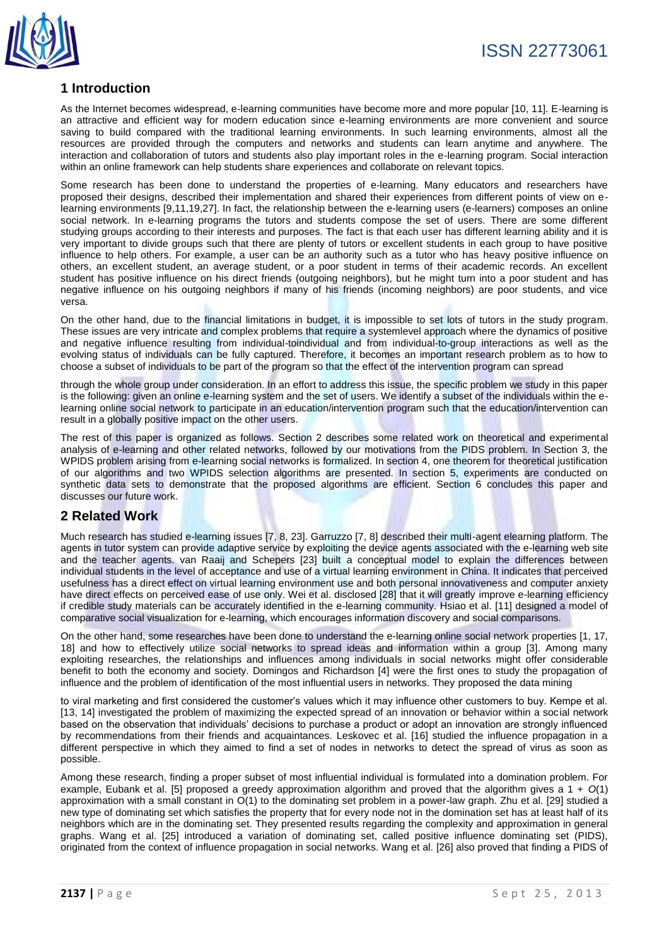

# **1 Introduction**

As the Internet becomes widespread, e-learning communities have become more and more popular [10, 11]. E-learning is an attractive and efficient way for modern education since e-learning environments are more convenient and source saving to build compared with the traditional learning environments. In such learning environments, almost all the resources are provided through the computers and networks and students can learn anytime and anywhere. The interaction and collaboration of tutors and students also play important roles in the e-learning program. Social interaction within an online framework can help students share experiences and collaborate on relevant topics.

Some research has been done to understand the properties of e-learning. Many educators and researchers have proposed their designs, described their implementation and shared their experiences from different points of view on elearning environments [9,11,19,27]. In fact, the relationship between the e-learning users (e-learners) composes an online social network. In e-learning programs the tutors and students compose the set of users. There are some different studying groups according to their interests and purposes. The fact is that each user has different learning ability and it is very important to divide groups such that there are plenty of tutors or excellent students in each group to have positive influence to help others. For example, a user can be an authority such as a tutor who has heavy positive influence on others, an excellent student, an average student, or a poor student in terms of their academic records. An excellent student has positive influence on his direct friends (outgoing neighbors), but he might turn into a poor student and has negative influence on his outgoing neighbors if many of his friends (incoming neighbors) are poor students, and vice versa.

On the other hand, due to the financial limitations in budget, it is impossible to set lots of tutors in the study program. These issues are very intricate and complex problems that require a systemlevel approach where the dynamics of positive and negative influence resulting from individual-toindividual and from individual-to-group interactions as well as the evolving status of individuals can be fully captured. Therefore, it becomes an important research problem as to how to choose a subset of individuals to be part of the program so that the effect of the intervention program can spread

through the whole group under consideration. In an effort to address this issue, the specific problem we study in this paper is the following: given an online e-learning system and the set of users. We identify a subset of the individuals within the elearning online social network to participate in an education/intervention program such that the education/intervention can result in a globally positive impact on the other users.

The rest of this paper is organized as follows. Section 2 describes some related work on theoretical and experimental analysis of e-learning and other related networks, followed by our motivations from the PIDS problem. In Section 3, the WPIDS problem arising from e-learning social networks is formalized. In section 4, one theorem for theoretical justification of our algorithms and two WPIDS selection algorithms are presented. In section 5, experiments are conducted on synthetic data sets to demonstrate that the proposed algorithms are efficient. Section 6 concludes this paper and discusses our future work.

# **2 Related Work**

Much research has studied e-learning issues [7, 8, 23]. Garruzzo [7, 8] described their multi-agent elearning platform. The agents in tutor system can provide adaptive service by exploiting the device agents associated with the e-learning web site and the teacher agents. van Raaij and Schepers [23] built a conceptual model to explain the differences between individual students in the level of acceptance and use of a virtual learning environment in China. It indicates that perceived usefulness has a direct effect on virtual learning environment use and both personal innovativeness and computer anxiety have direct effects on perceived ease of use only. Wei et al. disclosed [28] that it will greatly improve e-learning efficiency if credible study materials can be accurately identified in the e-learning community. Hsiao et al. [11] designed a model of comparative social visualization for e-learning, which encourages information discovery and social comparisons.

On the other hand, some researches have been done to understand the e-learning online social network properties [1, 17, 18] and how to effectively utilize social networks to spread ideas and information within a group [3]. Among many exploiting researches, the relationships and influences among individuals in social networks might offer considerable benefit to both the economy and society. Domingos and Richardson [4] were the first ones to study the propagation of influence and the problem of identification of the most influential users in networks. They proposed the data mining

to viral marketing and first considered the customer's values which it may influence other customers to buy. Kempe et al. [13, 14] investigated the problem of maximizing the expected spread of an innovation or behavior within a social network based on the observation that individuals' decisions to purchase a product or adopt an innovation are strongly influenced by recommendations from their friends and acquaintances. Leskovec et al. [16] studied the influence propagation in a different perspective in which they aimed to find a set of nodes in networks to detect the spread of virus as soon as possible.

Among these research, finding a proper subset of most influential individual is formulated into a domination problem. For example, Eubank et al. [5] proposed a greedy approximation algorithm and proved that the algorithm gives a 1 + *O*(1) approximation with a small constant in O(1) to the dominating set problem in a power-law graph. Zhu et al. [29] studied a new type of dominating set which satisfies the property that for every node not in the domination set has at least half of its neighbors which are in the dominating set. They presented results regarding the complexity and approximation in general graphs. Wang et al. [25] introduced a variation of dominating set, called positive influence dominating set (PIDS), originated from the context of influence propagation in social networks. Wang et al. [26] also proved that finding a PIDS of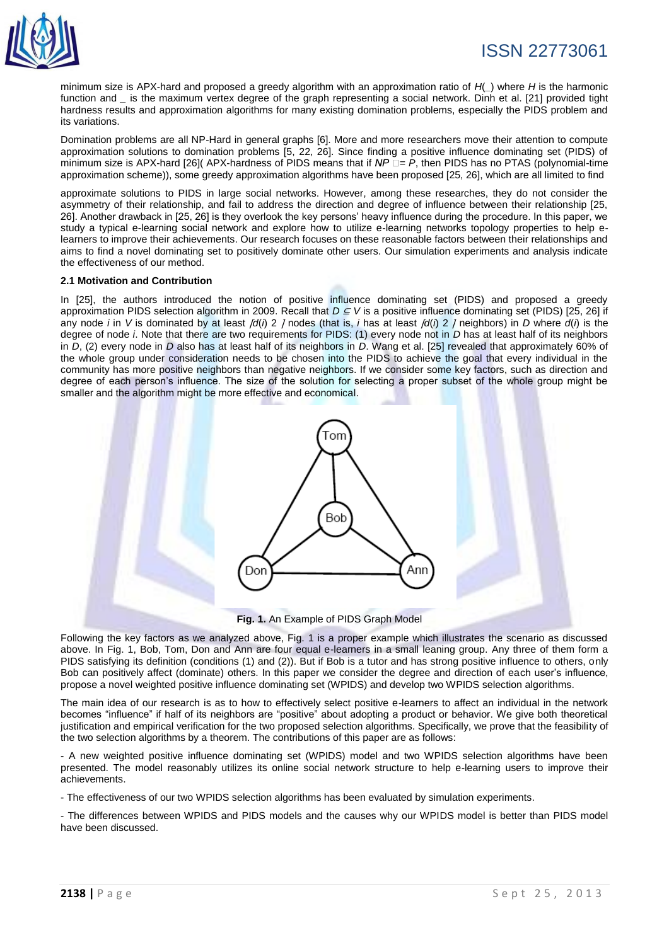

minimum size is APX-hard and proposed a greedy algorithm with an approximation ratio of *H*(*\_*) where *H* is the harmonic function and *\_* is the maximum vertex degree of the graph representing a social network. Dinh et al. [21] provided tight hardness results and approximation algorithms for many existing domination problems, especially the PIDS problem and its variations.

Domination problems are all NP-Hard in general graphs [6]. More and more researchers move their attention to compute approximation solutions to domination problems [5, 22, 26]. Since finding a positive influence dominating set (PIDS) of minimum size is APX-hard [26]( APX-hardness of PIDS means that if  $NP \square = P$ , then PIDS has no PTAS (polynomial-time approximation scheme)), some greedy approximation algorithms have been proposed [25, 26], which are all limited to find

approximate solutions to PIDS in large social networks. However, among these researches, they do not consider the asymmetry of their relationship, and fail to address the direction and degree of influence between their relationship [25, 26]. Another drawback in [25, 26] is they overlook the key persons' heavy influence during the procedure. In this paper, we study a typical e-learning social network and explore how to utilize e-learning networks topology properties to help elearners to improve their achievements. Our research focuses on these reasonable factors between their relationships and aims to find a novel dominating set to positively dominate other users. Our simulation experiments and analysis indicate the effectiveness of our method.

#### **2.1 Motivation and Contribution**

In [25], the authors introduced the notion of positive influence dominating set (PIDS) and proposed a greedy approximation PIDS selection algorithm in 2009. Recall that *D* <sup>⊆</sup> *V* is a positive influence dominating set (PIDS) [25, 26] if any node *i* in *V* is dominated by at least  $\frac{f d(i)}{2}$  *l* nodes (that is, *i* has at least  $\frac{f d(i)}{2}$  *l* neighbors) in *D* where  $d(i)$  is the degree of node *i*. Note that there are two requirements for PIDS: (1) every node not in *D* has at least half of its neighbors in *D*, (2) every node in *D* also has at least half of its neighbors in *D*. Wang et al. [25] revealed that approximately 60% of the whole group under consideration needs to be chosen into the PIDS to achieve the goal that every individual in the community has more positive neighbors than negative neighbors. If we consider some key factors, such as direction and degree of each person's influence. The size of the solution for selecting a proper subset of the whole group might be smaller and the algorithm might be more effective and economical.



**Fig. 1.** An Example of PIDS Graph Model

Following the key factors as we analyzed above, Fig. 1 is a proper example which illustrates the scenario as discussed above. In Fig. 1, Bob, Tom, Don and Ann are four equal e-learners in a small leaning group. Any three of them form a PIDS satisfying its definition (conditions (1) and (2)). But if Bob is a tutor and has strong positive influence to others, only Bob can positively affect (dominate) others. In this paper we consider the degree and direction of each user's influence, propose a novel weighted positive influence dominating set (WPIDS) and develop two WPIDS selection algorithms.

The main idea of our research is as to how to effectively select positive e-learners to affect an individual in the network becomes "influence" if half of its neighbors are "positive" about adopting a product or behavior. We give both theoretical justification and empirical verification for the two proposed selection algorithms. Specifically, we prove that the feasibility of the two selection algorithms by a theorem. The contributions of this paper are as follows:

- A new weighted positive influence dominating set (WPIDS) model and two WPIDS selection algorithms have been presented. The model reasonably utilizes its online social network structure to help e-learning users to improve their achievements.

- The effectiveness of our two WPIDS selection algorithms has been evaluated by simulation experiments.

- The differences between WPIDS and PIDS models and the causes why our WPIDS model is better than PIDS model have been discussed.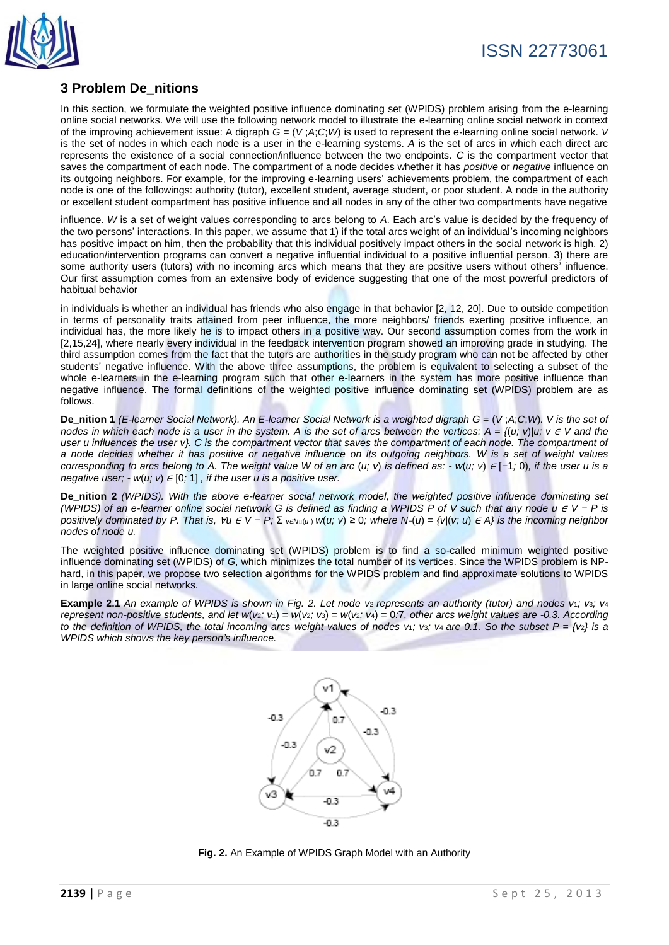

# **3 Problem De\_nitions**

In this section, we formulate the weighted positive influence dominating set (WPIDS) problem arising from the e-learning online social networks. We will use the following network model to illustrate the e-learning online social network in context of the improving achievement issue: A digraph *G* = (*V* ;*A*;*C*;*W*) is used to represent the e-learning online social network. *V*  is the set of nodes in which each node is a user in the e-learning systems. *A* is the set of arcs in which each direct arc represents the existence of a social connection/influence between the two endpoints. *C* is the compartment vector that saves the compartment of each node. The compartment of a node decides whether it has *positive* or *negative* influence on its outgoing neighbors. For example, for the improving e-learning users' achievements problem, the compartment of each node is one of the followings: authority (tutor), excellent student, average student, or poor student. A node in the authority or excellent student compartment has positive influence and all nodes in any of the other two compartments have negative

influence. *W* is a set of weight values corresponding to arcs belong to *A*. Each arc's value is decided by the frequency of the two persons' interactions. In this paper, we assume that 1) if the total arcs weight of an individual's incoming neighbors has positive impact on him, then the probability that this individual positively impact others in the social network is high. 2) education/intervention programs can convert a negative influential individual to a positive influential person. 3) there are some authority users (tutors) with no incoming arcs which means that they are positive users without others' influence. Our first assumption comes from an extensive body of evidence suggesting that one of the most powerful predictors of habitual behavior

in individuals is whether an individual has friends who also engage in that behavior [2, 12, 20]. Due to outside competition in terms of personality traits attained from peer influence, the more neighbors/ friends exerting positive influence, an individual has, the more likely he is to impact others in a positive way. Our second assumption comes from the work in [2,15,24], where nearly every individual in the feedback intervention program showed an improving grade in studying. The third assumption comes from the fact that the tutors are authorities in the study program who can not be affected by other students' negative influence. With the above three assumptions, the problem is equivalent to selecting a subset of the whole e-learners in the e-learning program such that other e-learners in the system has more positive influence than negative influence. The formal definitions of the weighted positive influence dominating set (WPIDS) problem are as follows.

**De\_nition 1** *(E-learner Social Network). An E-learner Social Network is a weighted digraph G = (V;* $A$ *;<i>C*;*W*)*. V is the set of nodes in which each node is a user in the system. A is the set of arcs between the vertices:*  $A = \{(u; v) | u; v \in V \}$  *and the user u influences the user v}. C is the compartment vector that saves the compartment of each node. The compartment of a node decides whether it has positive or negative influence on its outgoing neighbors. W is a set of weight values corresponding to arcs belong to A. The weight value W of an arc* (*u; v*) *is defined as: - w*(*u; v*) <sup>∈</sup> [*−*1*;* 0)*, if the user u is a negative user:*  $\cdot$  *w(u; v)*  $\in$  [0; 1], if the user u is a positive user.

**De\_nition 2** *(WPIDS). With the above e-learner social network model, the weighted positive influence dominating set (WPIDS) of an e-learner online social network G is defined as finding a WPIDS P of V such that any node u* <sup>∈</sup> *V − P is*  positively dominated by P. That is,  $\forall u \in V - P$ ;  $\Sigma_{V \in N \cup \{u\}} w(u; v) \ge 0$ ; where N-(u) = {v|(v; u)  $\in A$ } is the incoming neighbor *nodes of node u.*

The weighted positive influence dominating set (WPIDS) problem is to find a so-called minimum weighted positive influence dominating set (WPIDS) of *G*, which minimizes the total number of its vertices. Since the WPIDS problem is NPhard, in this paper, we propose two selection algorithms for the WPIDS problem and find approximate solutions to WPIDS in large online social networks.

**Example 2.1** *An example of WPIDS is shown in Fig. 2. Let node v*2 *represents an authority (tutor) and nodes v*1*; v*3*; v*<sup>4</sup> *represent non-positive students, and let*  $w(x; v_1) = w(x; v_2) = w(x; v_3) = 0.7$ *, other arcs weight values are -0.3. According to the definition of WPIDS, the total incoming arcs weight values of nodes v<sub>1</sub>; v<sub>3</sub>; v<sub>4</sub> are 0.1. So the subset*  $P = \{v_2\}$  *is a WPIDS which shows the key person's influence.*



**Fig. 2.** An Example of WPIDS Graph Model with an Authority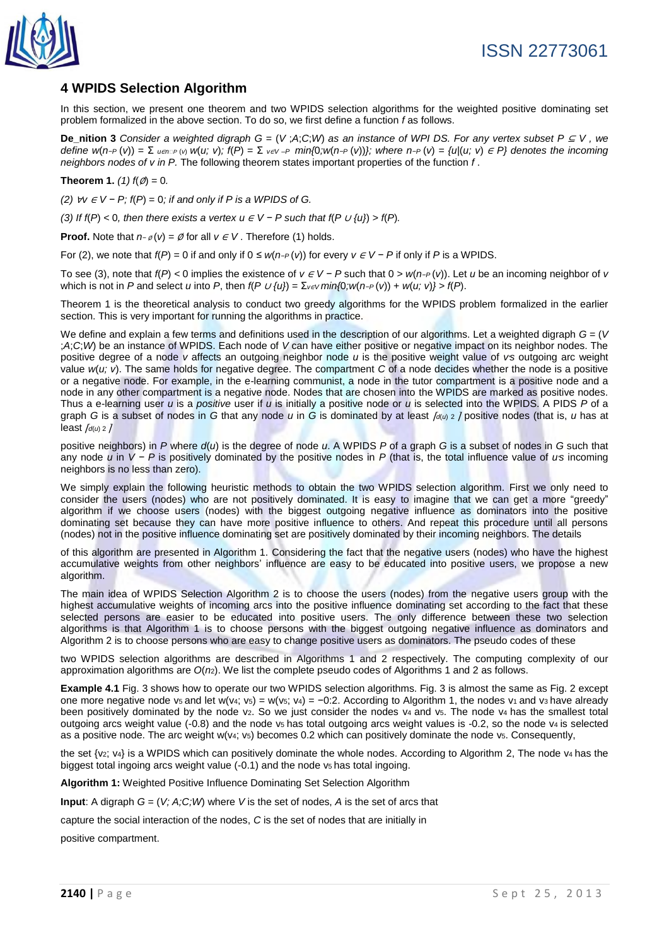

# **4 WPIDS Selection Algorithm**

In this section, we present one theorem and two WPIDS selection algorithms for the weighted positive dominating set problem formalized in the above section. To do so, we first define a function *f* as follows.

**De\_nition 3** Consider a weighted digraph  $G = (V; A; C; W)$  as an instance of WPI DS. For any vertex subset  $P \subseteq V$ , we define  $w(n-P(v)) = \sum_{u \in \mathbb{R}^n} \sum_{v \in V} w(u; v); f(P) = \sum_{v \in V-P} min(0; w(n-P(v))).$  where  $n-P(v) = \{u | (u; v) \in P\}$  denotes the incoming *neighbors nodes of v in P.* The following theorem states important properties of the function *f* .

**Theorem 1.**  $(1)$   $f(\emptyset) = 0$ .

*(2)* ∀*v* <sup>∈</sup> *V − P; f*(*P*) = 0*; if and only if P is a WPIDS of G.*

*(3)* If  $f(P) < 0$ , then there exists a vertex  $u \in V - P$  such that  $f(P \cup \{u\}) > f(P)$ .

**Proof.** Note that *n−*  $\emptyset$  (*v*) = Ø for all *v* ∈ *V*. Therefore (1) holds.

For (2), we note that *f*(*P*) = 0 if and only if 0 *≤ w*(*n−P* (*v*)) for every *v* <sup>∈</sup> *V − P* if only if *P* is a WPIDS.

To see (3), note that *f*(*P*) *<* 0 implies the existence of *v* <sup>∈</sup> *V − P* such that 0 *> w*(*n−P* (*v*)). Let *u* be an incoming neighbor of *v*  which is not in *P* and select *u* into *P*, then  $f(P \cup \{u\}) = \sum_{v \in V} \min\{0, w(n - P(v)) + w(u; v)\} > f(P)$ .

Theorem 1 is the theoretical analysis to conduct two greedy algorithms for the WPIDS problem formalized in the earlier section. This is very important for running the algorithms in practice.

We define and explain a few terms and definitions used in the description of our algorithms. Let a weighted digraph  $G = (V$ ;*A*;*C*;*W*) be an instance of WPIDS. Each node of *V* can have either positive or negative impact on its neighbor nodes. The positive degree of a node *v* affects an outgoing neighbor node *u* is the positive weight value of *v′s* outgoing arc weight value *w*(*u; v*). The same holds for negative degree. The compartment *C* of a node decides whether the node is a positive or a negative node. For example, in the e-learning communist, a node in the tutor compartment is a positive node and a node in any other compartment is a negative node. Nodes that are chosen into the WPIDS are marked as positive nodes. Thus a e-learning user *u* is a *positive* user if *u* is initially a positive node or *u* is selected into the WPIDS. A PIDS *P* of a graph *G* is a subset of nodes in *G* that any node *u* in *G* is dominated by at least ⌈*d*(*u*) <sup>2</sup>⌉ positive nodes (that is, *u* has at least  $f_{d(u)}$  2  $\bar{f}$ 

positive neighbors) in *P* where *d*(*u*) is the degree of node *u*. A WPIDS *P* of a graph *G* is a subset of nodes in *G* such that any node *u* in *V − P* is positively dominated by the positive nodes in *P* (that is, the total influence value of *u′s* incoming neighbors is no less than zero).

We simply explain the following heuristic methods to obtain the two WPIDS selection algorithm. First we only need to consider the users (nodes) who are not positively dominated. It is easy to imagine that we can get a more "greedy" algorithm if we choose users (nodes) with the biggest outgoing negative influence as dominators into the positive dominating set because they can have more positive influence to others. And repeat this procedure until all persons (nodes) not in the positive influence dominating set are positively dominated by their incoming neighbors. The details

of this algorithm are presented in Algorithm 1. Considering the fact that the negative users (nodes) who have the highest accumulative weights from other neighbors' influence are easy to be educated into positive users, we propose a new algorithm.

The main idea of WPIDS Selection Algorithm 2 is to choose the users (nodes) from the negative users group with the highest accumulative weights of incoming arcs into the positive influence dominating set according to the fact that these selected persons are easier to be educated into positive users. The only difference between these two selection algorithms is that Algorithm 1 is to choose persons with the biggest outgoing negative influence as dominators and Algorithm 2 is to choose persons who are easy to change positive users as dominators. The pseudo codes of these

two WPIDS selection algorithms are described in Algorithms 1 and 2 respectively. The computing complexity of our approximation algorithms are *O*(*n*2). We list the complete pseudo codes of Algorithms 1 and 2 as follows.

**Example 4.1** Fig. 3 shows how to operate our two WPIDS selection algorithms. Fig. 3 is almost the same as Fig. 2 except one more negative node v<sub>5</sub> and let w(v<sub>4</sub>; v<sub>5</sub>) = w(v<sub>5</sub>; v<sub>4</sub>) = -0:2. According to Algorithm 1, the nodes v<sub>1</sub> and v<sub>3</sub> have already been positively dominated by the node  $v_2$ . So we just consider the nodes  $v_4$  and  $v_5$ . The node  $v_4$  has the smallest total outgoing arcs weight value  $(-0.8)$  and the node vs has total outgoing arcs weight values is  $-0.2$ , so the node v4 is selected as a positive node. The arc weight w(v4; v<sub>5</sub>) becomes 0.2 which can positively dominate the node v<sub>5</sub>. Consequently,

the set {v<sub>2</sub>; v<sub>4</sub>} is a WPIDS which can positively dominate the whole nodes. According to Algorithm 2, The node v<sub>4</sub> has the biggest total ingoing arcs weight value (-0.1) and the node v5 has total ingoing.

**Algorithm 1:** Weighted Positive Influence Dominating Set Selection Algorithm

**Input**: A digraph *G* = (*V; A;C;W*) where *V* is the set of nodes, *A* is the set of arcs that

capture the social interaction of the nodes, *C* is the set of nodes that are initially in

positive compartment.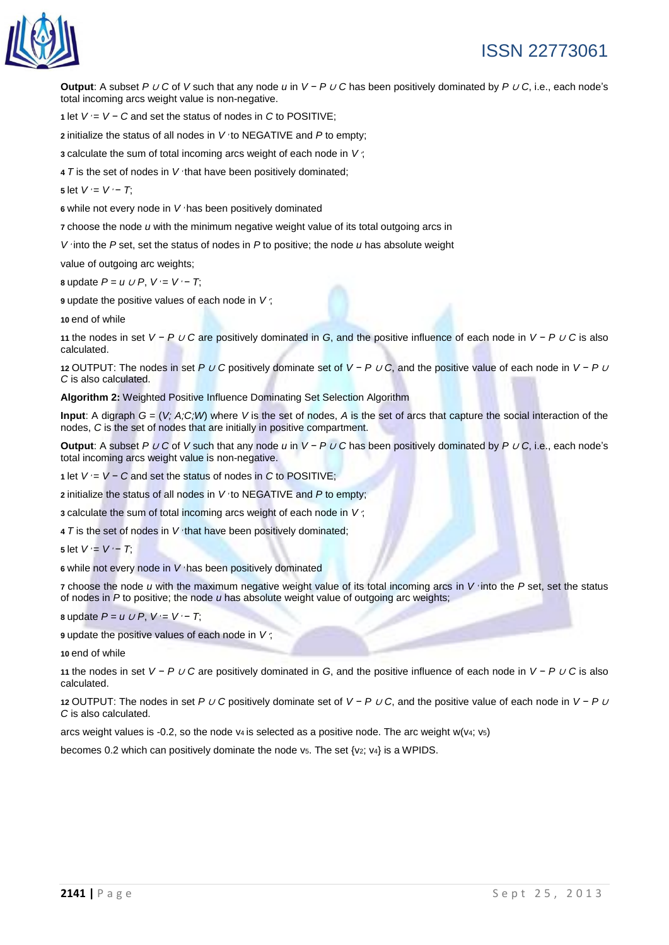

# ISSN 22773061

**Output**: A subset *P* <sup>∪</sup> *C* of *V* such that any node *u* in *V − P* <sup>∪</sup> *C* has been positively dominated by *P* <sup>∪</sup> *C*, i.e., each node's total incoming arcs weight value is non-negative.

- **1** let *V ′* = *V − C* and set the status of nodes in *C* to POSITIVE;
- **2** initialize the status of all nodes in *V ′* to NEGATIVE and *P* to empty;
- **3** calculate the sum of total incoming arcs weight of each node in *V ′*;
- **4** *T* is the set of nodes in *V ′* that have been positively dominated;

**5** let *V ′* = *V ′ − T*;

**6** while not every node in *V ′* has been positively dominated

**7** choose the node *u* with the minimum negative weight value of its total outgoing arcs in

*V ′* into the *P* set, set the status of nodes in *P* to positive; the node *u* has absolute weight

value of outgoing arc weights;

**8** update *P* = *u* <sup>∪</sup> *P*, *V ′* = *V ′ − T*;

**9** update the positive values of each node in *V ′*;

**10** end of while

**11** the nodes in set *V − P* <sup>∪</sup> *C* are positively dominated in *G*, and the positive influence of each node in *V − P* <sup>∪</sup> *C* is also calculated.

**12** OUTPUT: The nodes in set *P* <sup>∪</sup> *C* positively dominate set of *V − P* <sup>∪</sup> *C*, and the positive value of each node in *V − P* <sup>∪</sup> *C* is also calculated.

**Algorithm 2:** Weighted Positive Influence Dominating Set Selection Algorithm

**Input**: A digraph *G* = (*V; A;C;W*) where *V* is the set of nodes, *A* is the set of arcs that capture the social interaction of the nodes, *C* is the set of nodes that are initially in positive compartment.

**Output**: A subset *P* <sup>∪</sup> *C* of *V* such that any node *u* in *V − P* <sup>∪</sup> *C* has been positively dominated by *P* <sup>∪</sup> *C*, i.e., each node's total incoming arcs weight value is non-negative.

**1** let *V ′* = *V − C* and set the status of nodes in *C* to POSITIVE;

**2** initialize the status of all nodes in *V ′* to NEGATIVE and *P* to empty;

**3** calculate the sum of total incoming arcs weight of each node in *V ′*;

**4** *T* is the set of nodes in *V ′* that have been positively dominated;

**5** let *V ′* = *V ′ − T*;

**6** while not every node in *V ′* has been positively dominated

**7** choose the node *u* with the maximum negative weight value of its total incoming arcs in *V ′* into the *P* set, set the status of nodes in *P* to positive; the node *u* has absolute weight value of outgoing arc weights;

**8** update *P* = *u* <sup>∪</sup> *P*, *V ′* = *V ′ − T*;

**9** update the positive values of each node in *V ′*;

**10** end of while

**11** the nodes in set *V − P* <sup>∪</sup> *C* are positively dominated in *G*, and the positive influence of each node in *V − P* <sup>∪</sup> *C* is also calculated.

**12** OUTPUT: The nodes in set *P* <sup>∪</sup> *C* positively dominate set of *V − P* <sup>∪</sup> *C*, and the positive value of each node in *V − P* <sup>∪</sup> *C* is also calculated.

arcs weight values is -0.2, so the node  $v_4$  is selected as a positive node. The arc weight  $w(v_4; v_5)$ 

becomes 0.2 which can positively dominate the node vs. The set  $\{v_2; v_4\}$  is a WPIDS.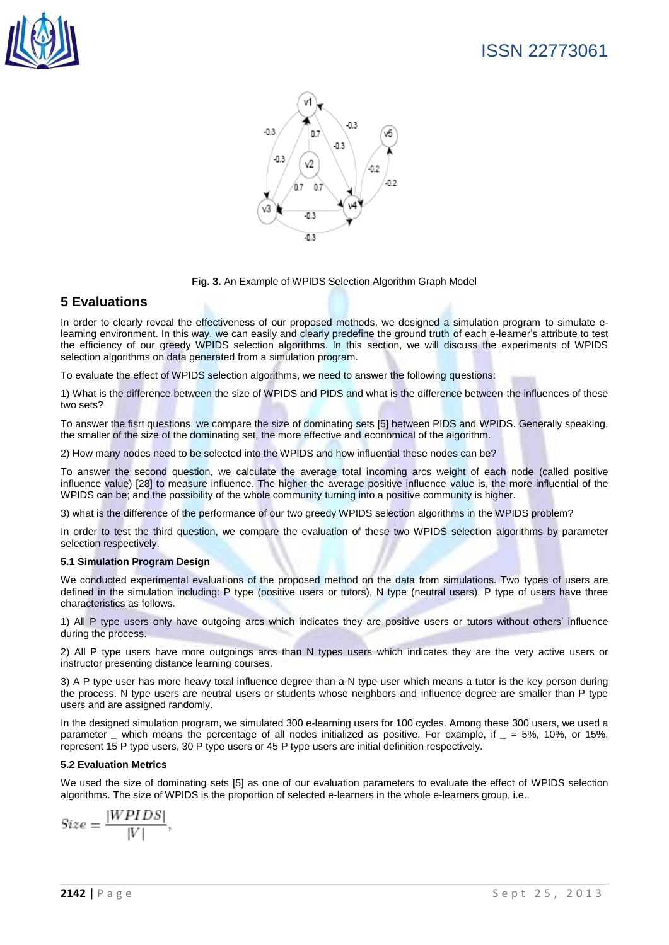# ISSN 22773061





**Fig. 3.** An Example of WPIDS Selection Algorithm Graph Model

### **5 Evaluations**

In order to clearly reveal the effectiveness of our proposed methods, we designed a simulation program to simulate elearning environment. In this way, we can easily and clearly predefine the ground truth of each e-learner's attribute to test the efficiency of our greedy WPIDS selection algorithms. In this section, we will discuss the experiments of WPIDS selection algorithms on data generated from a simulation program.

To evaluate the effect of WPIDS selection algorithms, we need to answer the following questions:

1) What is the difference between the size of WPIDS and PIDS and what is the difference between the influences of these two sets?

To answer the fisrt questions, we compare the size of dominating sets [5] between PIDS and WPIDS. Generally speaking, the smaller of the size of the dominating set, the more effective and economical of the algorithm.

2) How many nodes need to be selected into the WPIDS and how influential these nodes can be?

To answer the second question, we calculate the average total incoming arcs weight of each node (called positive influence value) [28] to measure influence. The higher the average positive influence value is, the more influential of the WPIDS can be; and the possibility of the whole community turning into a positive community is higher.

3) what is the difference of the performance of our two greedy WPIDS selection algorithms in the WPIDS problem?

In order to test the third question, we compare the evaluation of these two WPIDS selection algorithms by parameter selection respectively.

### **5.1 Simulation Program Design**

We conducted experimental evaluations of the proposed method on the data from simulations. Two types of users are defined in the simulation including: P type (positive users or tutors), N type (neutral users). P type of users have three characteristics as follows.

1) All P type users only have outgoing arcs which indicates they are positive users or tutors without others' influence during the process.

2) All P type users have more outgoings arcs than N types users which indicates they are the very active users or instructor presenting distance learning courses.

3) A P type user has more heavy total influence degree than a N type user which means a tutor is the key person during the process. N type users are neutral users or students whose neighbors and influence degree are smaller than P type users and are assigned randomly.

In the designed simulation program, we simulated 300 e-learning users for 100 cycles. Among these 300 users, we used a parameter *\_* which means the percentage of all nodes initialized as positive. For example, if *\_* = 5%, 10%, or 15%, represent 15 P type users, 30 P type users or 45 P type users are initial definition respectively.

### **5.2 Evaluation Metrics**

We used the size of dominating sets [5] as one of our evaluation parameters to evaluate the effect of WPIDS selection algorithms. The size of WPIDS is the proportion of selected e-learners in the whole e-learners group, i.e.,

$$
Size = \frac{|WPIDS|}{|V|},
$$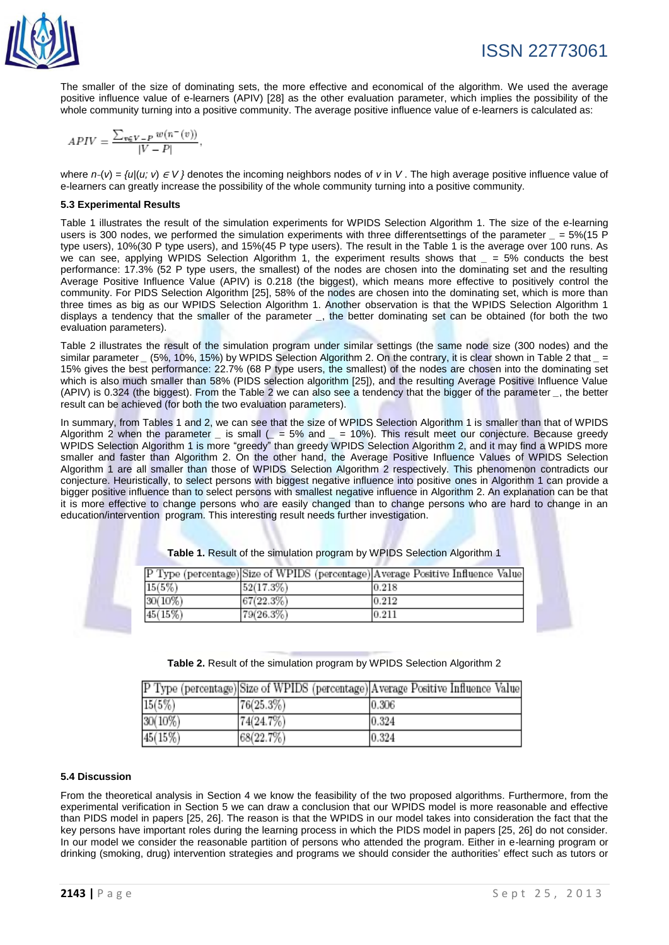

The smaller of the size of dominating sets, the more effective and economical of the algorithm. We used the average positive influence value of e-learners (APIV) [28] as the other evaluation parameter, which implies the possibility of the whole community turning into a positive community. The average positive influence value of e-learners is calculated as:

$$
APIV = \frac{\sum_{v \in V - P} w(n^-(v))}{|V - P|},
$$

where *n−*(*v*) = *{u|*(*u; v*) <sup>∈</sup> *V }* denotes the incoming neighbors nodes of *v* in *V* . The high average positive influence value of e-learners can greatly increase the possibility of the whole community turning into a positive community.

#### **5.3 Experimental Results**

Table 1 illustrates the result of the simulation experiments for WPIDS Selection Algorithm 1. The size of the e-learning users is 300 nodes, we performed the simulation experiments with three differentsettings of the parameter  $=$  = 5%(15 P type users), 10%(30 P type users), and 15%(45 P type users). The result in the Table 1 is the average over 100 runs. As we can see, applying WPIDS Selection Algorithm 1, the experiment results shows that *\_* = 5% conducts the best performance: 17.3% (52 P type users, the smallest) of the nodes are chosen into the dominating set and the resulting Average Positive Influence Value (APIV) is 0.218 (the biggest), which means more effective to positively control the community. For PIDS Selection Algorithm [25], 58% of the nodes are chosen into the dominating set, which is more than three times as big as our WPIDS Selection Algorithm 1. Another observation is that the WPIDS Selection Algorithm 1 displays a tendency that the smaller of the parameter *\_*, the better dominating set can be obtained (for both the two evaluation parameters).

Table 2 illustrates the result of the simulation program under similar settings (the same node size (300 nodes) and the similar parameter \_ (5%, 10%, 15%) by WPIDS Selection Algorithm 2. On the contrary, it is clear shown in Table 2 that \_ = 15% gives the best performance: 22.7% (68 P type users, the smallest) of the nodes are chosen into the dominating set which is also much smaller than 58% (PIDS selection algorithm [25]), and the resulting Average Positive Influence Value (APIV) is 0.324 (the biggest). From the Table 2 we can also see a tendency that the bigger of the parameter *\_*, the better result can be achieved (for both the two evaluation parameters).

In summary, from Tables 1 and 2, we can see that the size of WPIDS Selection Algorithm 1 is smaller than that of WPIDS Algorithm 2 when the parameter *\_* is small (*\_* = 5% and *\_* = 10%). This result meet our conjecture. Because greedy WPIDS Selection Algorithm 1 is more "greedy" than greedy WPIDS Selection Algorithm 2, and it may find a WPIDS more smaller and faster than Algorithm 2. On the other hand, the Average Positive Influence Values of WPIDS Selection Algorithm 1 are all smaller than those of WPIDS Selection Algorithm 2 respectively. This phenomenon contradicts our conjecture. Heuristically, to select persons with biggest negative influence into positive ones in Algorithm 1 can provide a bigger positive influence than to select persons with smallest negative influence in Algorithm 2. An explanation can be that it is more effective to change persons who are easily changed than to change persons who are hard to change in an education/intervention program. This interesting result needs further investigation.

|            |           | P Type (percentage) Size of WPIDS (percentage) Average Positive Influence Value |
|------------|-----------|---------------------------------------------------------------------------------|
| 15(5%)     | 52(17.3%) | 0.218                                                                           |
| $30(10\%)$ | 67(22.3%) | 0.212                                                                           |
| 45(15%)    | 79(26.3%) | 0.211                                                                           |

|  |  |  |  |  | Table 1. Result of the simulation program by WPIDS Selection Algorithm 1 |
|--|--|--|--|--|--------------------------------------------------------------------------|
|--|--|--|--|--|--------------------------------------------------------------------------|

**Table 2.** Result of the simulation program by WPIDS Selection Algorithm 2

|            |           | P Type (percentage) Size of WPIDS (percentage) Average Positive Influence Value |
|------------|-----------|---------------------------------------------------------------------------------|
| 15(5%)     | 76(25.3%) | 0.306                                                                           |
| $30(10\%)$ | 74(24.7%) | 0.324                                                                           |
| 45(15%)    | 68(22.7%) | 0.324                                                                           |

### **5.4 Discussion**

From the theoretical analysis in Section 4 we know the feasibility of the two proposed algorithms. Furthermore, from the experimental verification in Section 5 we can draw a conclusion that our WPIDS model is more reasonable and effective than PIDS model in papers [25, 26]. The reason is that the WPIDS in our model takes into consideration the fact that the key persons have important roles during the learning process in which the PIDS model in papers [25, 26] do not consider. In our model we consider the reasonable partition of persons who attended the program. Either in e-learning program or drinking (smoking, drug) intervention strategies and programs we should consider the authorities' effect such as tutors or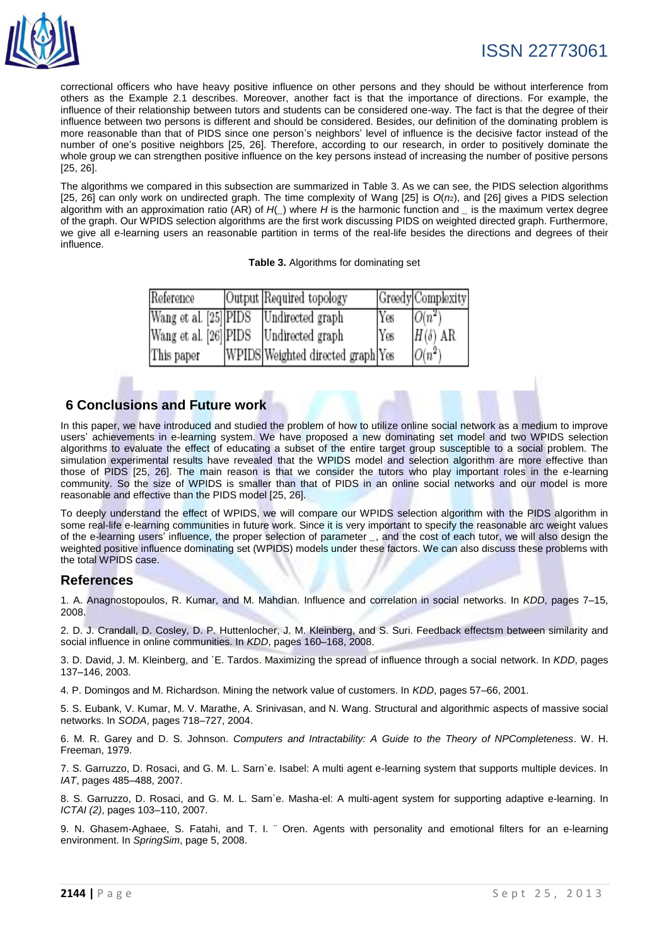

correctional officers who have heavy positive influence on other persons and they should be without interference from others as the Example 2.1 describes. Moreover, another fact is that the importance of directions. For example, the influence of their relationship between tutors and students can be considered one-way. The fact is that the degree of their influence between two persons is different and should be considered. Besides, our definition of the dominating problem is more reasonable than that of PIDS since one person's neighbors' level of influence is the decisive factor instead of the number of one's positive neighbors [25, 26]. Therefore, according to our research, in order to positively dominate the whole group we can strengthen positive influence on the key persons instead of increasing the number of positive persons [25, 26].

The algorithms we compared in this subsection are summarized in Table 3. As we can see, the PIDS selection algorithms [25, 26] can only work on undirected graph. The time complexity of Wang [25] is *O*(*n*2), and [26] gives a PIDS selection algorithm with an approximation ratio (AR) of *H*(*\_*) where *H* is the harmonic function and *\_* is the maximum vertex degree of the graph. Our WPIDS selection algorithms are the first work discussing PIDS on weighted directed graph. Furthermore, we give all e-learning users an reasonable partition in terms of the real-life besides the directions and degrees of their influence.

| Table 3. Algorithms for dominating set |  |  |  |
|----------------------------------------|--|--|--|
|----------------------------------------|--|--|--|

| Reference             | Output Required topology          |     | Greedy Complexity |
|-----------------------|-----------------------------------|-----|-------------------|
| Wang et al. [25] PIDS | Undirected graph                  | Yes | $O(n^2)$          |
| Wang et al. [26] PIDS | Undirected graph                  | Yes | $H(\delta)$ AR    |
| This paper            | WPIDS Weighted directed graph Yes |     | $O(n^2)$          |

### **6 Conclusions and Future work**

In this paper, we have introduced and studied the problem of how to utilize online social network as a medium to improve users' achievements in e-learning system. We have proposed a new dominating set model and two WPIDS selection algorithms to evaluate the effect of educating a subset of the entire target group susceptible to a social problem. The simulation experimental results have revealed that the WPIDS model and selection algorithm are more effective than those of PIDS [25, 26]. The main reason is that we consider the tutors who play important roles in the e-learning community. So the size of WPIDS is smaller than that of PIDS in an online social networks and our model is more reasonable and effective than the PIDS model [25, 26].

To deeply understand the effect of WPIDS, we will compare our WPIDS selection algorithm with the PIDS algorithm in some real-life e-learning communities in future work. Since it is very important to specify the reasonable arc weight values of the e-learning users' influence, the proper selection of parameter *\_*, and the cost of each tutor, we will also design the weighted positive influence dominating set (WPIDS) models under these factors. We can also discuss these problems with the total WPIDS case.

### **References**

1. A. Anagnostopoulos, R. Kumar, and M. Mahdian. Influence and correlation in social networks. In *KDD*, pages 7–15, 2008.

2. D. J. Crandall, D. Cosley, D. P. Huttenlocher, J. M. Kleinberg, and S. Suri. Feedback effectsm between similarity and social influence in online communities. In *KDD*, pages 160–168, 2008.

3. D. David, J. M. Kleinberg, and ´E. Tardos. Maximizing the spread of influence through a social network. In *KDD*, pages 137–146, 2003.

4. P. Domingos and M. Richardson. Mining the network value of customers. In *KDD*, pages 57–66, 2001.

5. S. Eubank, V. Kumar, M. V. Marathe, A. Srinivasan, and N. Wang. Structural and algorithmic aspects of massive social networks. In *SODA*, pages 718–727, 2004.

6. M. R. Garey and D. S. Johnson. *Computers and Intractability: A Guide to the Theory of NPCompleteness*. W. H. Freeman, 1979.

7. S. Garruzzo, D. Rosaci, and G. M. L. Sarn`e. Isabel: A multi agent e-learning system that supports multiple devices. In *IAT*, pages 485–488, 2007.

8. S. Garruzzo, D. Rosaci, and G. M. L. Sarn`e. Masha-el: A multi-agent system for supporting adaptive e-learning. In *ICTAI (2)*, pages 103–110, 2007.

9. N. Ghasem-Aghaee, S. Fatahi, and T. I. ¨ Oren. Agents with personality and emotional filters for an e-learning environment. In *SpringSim*, page 5, 2008.